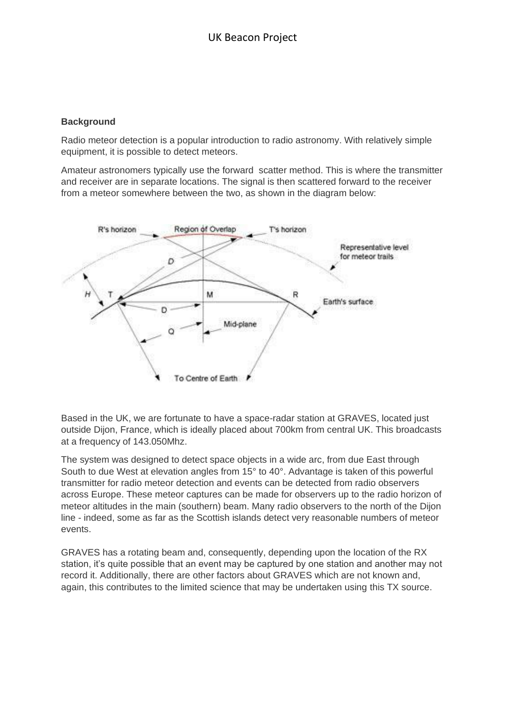## **Background**

Radio meteor detection is a popular introduction to radio astronomy. With relatively simple equipment, it is possible to detect meteors.

Amateur astronomers typically use the forward scatter method. This is where the transmitter and receiver are in separate locations. The signal is then scattered forward to the receiver from a meteor somewhere between the two, as shown in the diagram below:



Based in the UK, we are fortunate to have a space-radar station at GRAVES, located just outside Dijon, France, which is ideally placed about 700km from central UK. This broadcasts at a frequency of 143.050Mhz.

The system was designed to detect space objects in a wide arc, from due East through South to due West at elevation angles from 15° to 40°. Advantage is taken of this powerful transmitter for radio meteor detection and events can be detected from radio observers across Europe. These meteor captures can be made for observers up to the radio horizon of meteor altitudes in the main (southern) beam. Many radio observers to the north of the Dijon line - indeed, some as far as the Scottish islands detect very reasonable numbers of meteor events.

GRAVES has a rotating beam and, consequently, depending upon the location of the RX station, it's quite possible that an event may be captured by one station and another may not record it. Additionally, there are other factors about GRAVES which are not known and, again, this contributes to the limited science that may be undertaken using this TX source.